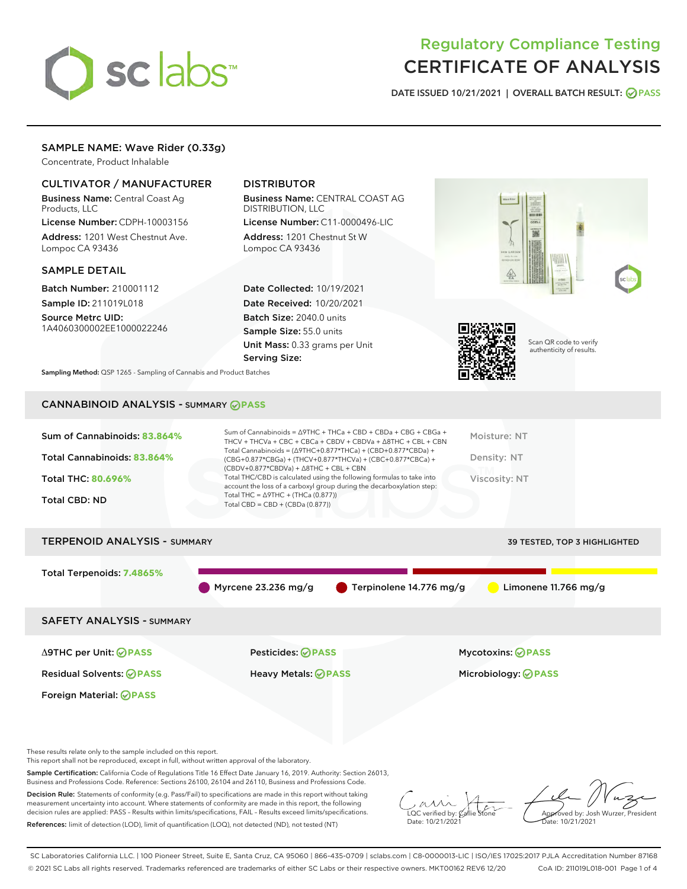# sclabs<sup>\*</sup>

# Regulatory Compliance Testing CERTIFICATE OF ANALYSIS

DATE ISSUED 10/21/2021 | OVERALL BATCH RESULT: @ PASS

## SAMPLE NAME: Wave Rider (0.33g)

Concentrate, Product Inhalable

### CULTIVATOR / MANUFACTURER

Business Name: Central Coast Ag Products, LLC

License Number: CDPH-10003156 Address: 1201 West Chestnut Ave. Lompoc CA 93436

#### SAMPLE DETAIL

Batch Number: 210001112 Sample ID: 211019L018

Source Metrc UID: 1A4060300002EE1000022246

## DISTRIBUTOR

Business Name: CENTRAL COAST AG DISTRIBUTION, LLC License Number: C11-0000496-LIC

Address: 1201 Chestnut St W Lompoc CA 93436

Date Collected: 10/19/2021 Date Received: 10/20/2021 Batch Size: 2040.0 units Sample Size: 55.0 units Unit Mass: 0.33 grams per Unit Serving Size:





Scan QR code to verify authenticity of results.

Sampling Method: QSP 1265 - Sampling of Cannabis and Product Batches

# CANNABINOID ANALYSIS - SUMMARY **PASS**

| Total Cannabinoids = $(\Delta$ 9THC+0.877*THCa) + (CBD+0.877*CBDa) +<br>Total Cannabinoids: 83.864%<br>Density: NT<br>(CBG+0.877*CBGa) + (THCV+0.877*THCVa) + (CBC+0.877*CBCa) +<br>$(CBDV+0.877*CBDVa) + \Delta 8THC + CBL + CBN$<br>Total THC/CBD is calculated using the following formulas to take into<br>Viscosity: NT<br><b>Total THC: 80.696%</b><br>account the loss of a carboxyl group during the decarboxylation step:<br>Total THC = $\triangle$ 9THC + (THCa (0.877))<br><b>Total CBD: ND</b><br>Total CBD = $CBD + (CBDa (0.877))$ | Sum of Cannabinoids: 83.864% | Sum of Cannabinoids = $\triangle$ 9THC + THCa + CBD + CBDa + CBG + CBGa +<br>THCV + THCVa + CBC + CBCa + CBDV + CBDVa + $\Delta$ 8THC + CBL + CBN | Moisture: NT |
|---------------------------------------------------------------------------------------------------------------------------------------------------------------------------------------------------------------------------------------------------------------------------------------------------------------------------------------------------------------------------------------------------------------------------------------------------------------------------------------------------------------------------------------------------|------------------------------|---------------------------------------------------------------------------------------------------------------------------------------------------|--------------|
|                                                                                                                                                                                                                                                                                                                                                                                                                                                                                                                                                   |                              |                                                                                                                                                   |              |
|                                                                                                                                                                                                                                                                                                                                                                                                                                                                                                                                                   |                              |                                                                                                                                                   |              |
|                                                                                                                                                                                                                                                                                                                                                                                                                                                                                                                                                   |                              |                                                                                                                                                   |              |

# TERPENOID ANALYSIS - SUMMARY 39 TESTED, TOP 3 HIGHLIGHTED Total Terpenoids: **7.4865%** Myrcene 23.236 mg/g  $\bullet$  Terpinolene 14.776 mg/g  $\bullet$  Limonene 11.766 mg/g SAFETY ANALYSIS - SUMMARY Δ9THC per Unit: **PASS** Pesticides: **PASS** Mycotoxins: **PASS**

Foreign Material: **PASS**

Residual Solvents: **PASS** Heavy Metals: **PASS** Microbiology: **PASS**

These results relate only to the sample included on this report.

This report shall not be reproduced, except in full, without written approval of the laboratory.

Sample Certification: California Code of Regulations Title 16 Effect Date January 16, 2019. Authority: Section 26013, Business and Professions Code. Reference: Sections 26100, 26104 and 26110, Business and Professions Code.

Decision Rule: Statements of conformity (e.g. Pass/Fail) to specifications are made in this report without taking measurement uncertainty into account. Where statements of conformity are made in this report, the following decision rules are applied: PASS – Results within limits/specifications, FAIL – Results exceed limits/specifications. References: limit of detection (LOD), limit of quantification (LOQ), not detected (ND), not tested (NT)

 $\overline{\text{LOC}}$  verified by:  $\mathcal C$ Date: 10/21/2021

Aved by: Josh Wurzer, President Date: 10/21/2021

SC Laboratories California LLC. | 100 Pioneer Street, Suite E, Santa Cruz, CA 95060 | 866-435-0709 | sclabs.com | C8-0000013-LIC | ISO/IES 17025:2017 PJLA Accreditation Number 87168 © 2021 SC Labs all rights reserved. Trademarks referenced are trademarks of either SC Labs or their respective owners. MKT00162 REV6 12/20 CoA ID: 211019L018-001 Page 1 of 4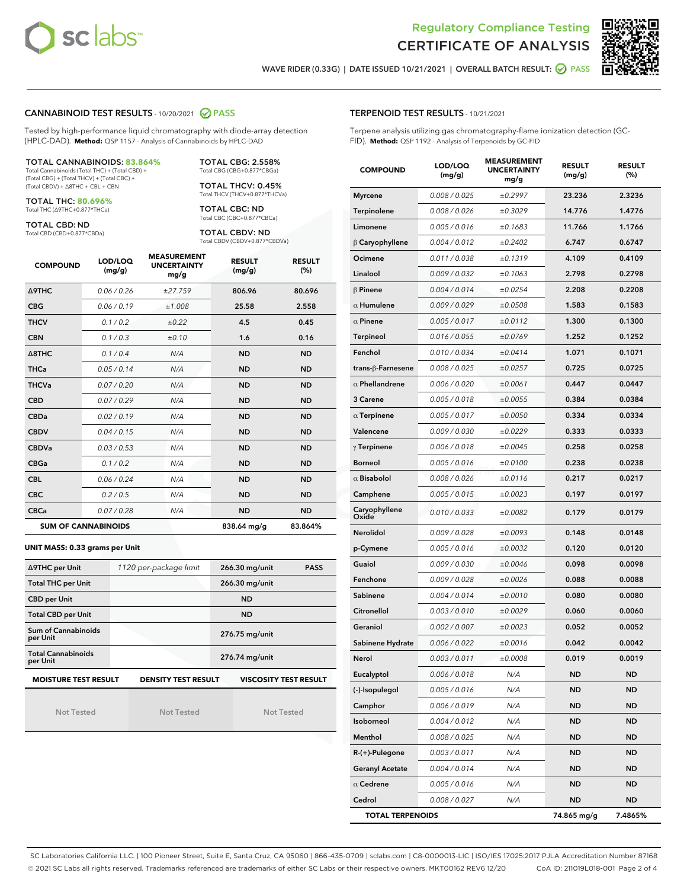



WAVE RIDER (0.33G) | DATE ISSUED 10/21/2021 | OVERALL BATCH RESULT:  $\bigcirc$  PASS

#### CANNABINOID TEST RESULTS - 10/20/2021 2 PASS

Tested by high-performance liquid chromatography with diode-array detection (HPLC-DAD). **Method:** QSP 1157 - Analysis of Cannabinoids by HPLC-DAD

#### TOTAL CANNABINOIDS: **83.864%**

Total Cannabinoids (Total THC) + (Total CBD) + (Total CBG) + (Total THCV) + (Total CBC) + (Total CBDV) + ∆8THC + CBL + CBN

TOTAL THC: **80.696%** Total THC (∆9THC+0.877\*THCa)

TOTAL CBD: ND

Total CBD (CBD+0.877\*CBDa)

TOTAL CBG: 2.558% Total CBG (CBG+0.877\*CBGa)

TOTAL THCV: 0.45% Total THCV (THCV+0.877\*THCVa)

TOTAL CBC: ND Total CBC (CBC+0.877\*CBCa)

TOTAL CBDV: ND Total CBDV (CBDV+0.877\*CBDVa)

| <b>COMPOUND</b>            | LOD/LOQ<br>(mg/g) | <b>MEASUREMENT</b><br><b>UNCERTAINTY</b><br>mg/g | <b>RESULT</b><br>(mg/g) | <b>RESULT</b><br>(%) |
|----------------------------|-------------------|--------------------------------------------------|-------------------------|----------------------|
| <b>A9THC</b>               | 0.06 / 0.26       | ±27.759                                          | 806.96                  | 80.696               |
| <b>CBG</b>                 | 0.06 / 0.19       | ±1.008                                           | 25.58                   | 2.558                |
| <b>THCV</b>                | 0.1 / 0.2         | ±0.22                                            | 4.5                     | 0.45                 |
| <b>CBN</b>                 | 0.1/0.3           | ±0.10                                            | 1.6                     | 0.16                 |
| $\triangle$ 8THC           | 0.1 / 0.4         | N/A                                              | <b>ND</b>               | <b>ND</b>            |
| <b>THCa</b>                | 0.05/0.14         | N/A                                              | <b>ND</b>               | <b>ND</b>            |
| <b>THCVa</b>               | 0.07/0.20         | N/A                                              | <b>ND</b>               | <b>ND</b>            |
| <b>CBD</b>                 | 0.07/0.29         | N/A                                              | <b>ND</b>               | <b>ND</b>            |
| <b>CBDa</b>                | 0.02/0.19         | N/A                                              | <b>ND</b>               | <b>ND</b>            |
| <b>CBDV</b>                | 0.04 / 0.15       | N/A                                              | <b>ND</b>               | <b>ND</b>            |
| <b>CBDVa</b>               | 0.03/0.53         | N/A                                              | <b>ND</b>               | <b>ND</b>            |
| <b>CBGa</b>                | 0.1/0.2           | N/A                                              | <b>ND</b>               | <b>ND</b>            |
| <b>CBL</b>                 | 0.06 / 0.24       | N/A                                              | <b>ND</b>               | <b>ND</b>            |
| <b>CBC</b>                 | 0.2 / 0.5         | N/A                                              | <b>ND</b>               | <b>ND</b>            |
| <b>CBCa</b>                | 0.07/0.28         | N/A                                              | <b>ND</b>               | <b>ND</b>            |
| <b>SUM OF CANNABINOIDS</b> |                   |                                                  | 838.64 mg/g             | 83.864%              |

#### **UNIT MASS: 0.33 grams per Unit**

| ∆9THC per Unit                        | 1120 per-package limit     | 266.30 mg/unit<br><b>PASS</b> |
|---------------------------------------|----------------------------|-------------------------------|
| <b>Total THC per Unit</b>             |                            | 266.30 mg/unit                |
| <b>CBD per Unit</b>                   |                            | <b>ND</b>                     |
| <b>Total CBD per Unit</b>             |                            | <b>ND</b>                     |
| Sum of Cannabinoids<br>per Unit       |                            | 276.75 mg/unit                |
| <b>Total Cannabinoids</b><br>per Unit |                            | 276.74 mg/unit                |
| <b>MOISTURE TEST RESULT</b>           | <b>DENSITY TEST RESULT</b> | <b>VISCOSITY TEST RESULT</b>  |

Not Tested

Not Tested

Not Tested

| <b>TERPENOID TEST RESULTS - 10/21/2021</b> |
|--------------------------------------------|
|--------------------------------------------|

Terpene analysis utilizing gas chromatography-flame ionization detection (GC-FID). **Method:** QSP 1192 - Analysis of Terpenoids by GC-FID

| <b>COMPOUND</b>         | LOD/LOQ<br>(mg/g) | <b>MEASUREMENT</b><br><b>UNCERTAINTY</b><br>mg/g | <b>RESULT</b><br>(mg/g) | <b>RESULT</b><br>$(\%)$ |
|-------------------------|-------------------|--------------------------------------------------|-------------------------|-------------------------|
| <b>Myrcene</b>          | 0.008 / 0.025     | ±0.2997                                          | 23.236                  | 2.3236                  |
| Terpinolene             | 0.008 / 0.026     | ±0.3029                                          | 14.776                  | 1.4776                  |
| Limonene                | 0.005 / 0.016     | ±0.1683                                          | 11.766                  | 1.1766                  |
| $\beta$ Caryophyllene   | 0.004 / 0.012     | ±0.2402                                          | 6.747                   | 0.6747                  |
| Ocimene                 | 0.011 / 0.038     | ±0.1319                                          | 4.109                   | 0.4109                  |
| Linalool                | 0.009 / 0.032     | ±0.1063                                          | 2.798                   | 0.2798                  |
| $\beta$ Pinene          | 0.004 / 0.014     | ±0.0254                                          | 2.208                   | 0.2208                  |
| $\alpha$ Humulene       | 0.009/0.029       | ±0.0508                                          | 1.583                   | 0.1583                  |
| $\alpha$ Pinene         | 0.005 / 0.017     | ±0.0112                                          | 1.300                   | 0.1300                  |
| <b>Terpineol</b>        | 0.016 / 0.055     | ±0.0769                                          | 1.252                   | 0.1252                  |
| Fenchol                 | 0.010 / 0.034     | ±0.0414                                          | 1.071                   | 0.1071                  |
| trans-ß-Farnesene       | 0.008 / 0.025     | ±0.0257                                          | 0.725                   | 0.0725                  |
| $\alpha$ Phellandrene   | 0.006 / 0.020     | ±0.0061                                          | 0.447                   | 0.0447                  |
| 3 Carene                | 0.005 / 0.018     | ±0.0055                                          | 0.384                   | 0.0384                  |
| $\alpha$ Terpinene      | 0.005 / 0.017     | ±0.0050                                          | 0.334                   | 0.0334                  |
| Valencene               | 0.009 / 0.030     | ±0.0229                                          | 0.333                   | 0.0333                  |
| $\gamma$ Terpinene      | 0.006 / 0.018     | ±0.0045                                          | 0.258                   | 0.0258                  |
| <b>Borneol</b>          | 0.005 / 0.016     | ±0.0100                                          | 0.238                   | 0.0238                  |
| $\alpha$ Bisabolol      | 0.008 / 0.026     | ±0.0116                                          | 0.217                   | 0.0217                  |
| Camphene                | 0.005 / 0.015     | ±0.0023                                          | 0.197                   | 0.0197                  |
| Caryophyllene<br>Oxide  | 0.010 / 0.033     | ±0.0082                                          | 0.179                   | 0.0179                  |
| Nerolidol               | 0.009 / 0.028     | ±0.0093                                          | 0.148                   | 0.0148                  |
| p-Cymene                | 0.005 / 0.016     | ±0.0032                                          | 0.120                   | 0.0120                  |
| Guaiol                  | 0.009 / 0.030     | ±0.0046                                          | 0.098                   | 0.0098                  |
| Fenchone                | 0.009 / 0.028     | ±0.0026                                          | 0.088                   | 0.0088                  |
| Sabinene                | 0.004 / 0.014     | ±0.0010                                          | 0.080                   | 0.0080                  |
| Citronellol             | 0.003 / 0.010     | ±0.0029                                          | 0.060                   | 0.0060                  |
| Geraniol                | 0.002 / 0.007     | ±0.0023                                          | 0.052                   | 0.0052                  |
| Sabinene Hydrate        | 0.006 / 0.022     | ±0.0016                                          | 0.042                   | 0.0042                  |
| Nerol                   | 0.003 / 0.011     | ±0.0008                                          | 0.019                   | 0.0019                  |
| Eucalyptol              | 0.006 / 0.018     | N/A                                              | ND                      | ND                      |
| (-)-Isopulegol          | 0.005 / 0.016     | N/A                                              | ND                      | <b>ND</b>               |
| Camphor                 | 0.006 / 0.019     | N/A                                              | ND                      | <b>ND</b>               |
| Isoborneol              | 0.004 / 0.012     | N/A                                              | <b>ND</b>               | ND                      |
| Menthol                 | 0.008 / 0.025     | N/A                                              | ND                      | ND                      |
| R-(+)-Pulegone          | 0.003 / 0.011     | N/A                                              | ND                      | <b>ND</b>               |
| <b>Geranyl Acetate</b>  | 0.004 / 0.014     | N/A                                              | ND                      | ND                      |
| $\alpha$ Cedrene        | 0.005 / 0.016     | N/A                                              | <b>ND</b>               | ND                      |
| Cedrol                  | 0.008 / 0.027     | N/A                                              | ND                      | <b>ND</b>               |
| <b>TOTAL TERPENOIDS</b> |                   |                                                  | 74.865 mg/g             | 7.4865%                 |

SC Laboratories California LLC. | 100 Pioneer Street, Suite E, Santa Cruz, CA 95060 | 866-435-0709 | sclabs.com | C8-0000013-LIC | ISO/IES 17025:2017 PJLA Accreditation Number 87168 © 2021 SC Labs all rights reserved. Trademarks referenced are trademarks of either SC Labs or their respective owners. MKT00162 REV6 12/20 CoA ID: 211019L018-001 Page 2 of 4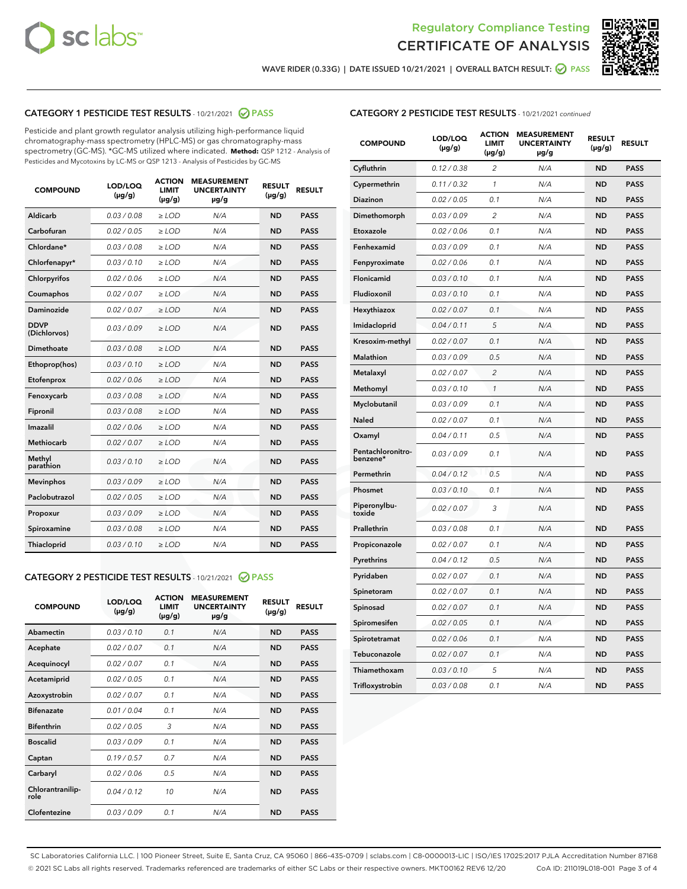



WAVE RIDER (0.33G) | DATE ISSUED 10/21/2021 | OVERALL BATCH RESULT:  $\bigcirc$  PASS

# CATEGORY 1 PESTICIDE TEST RESULTS - 10/21/2021 2 PASS

Pesticide and plant growth regulator analysis utilizing high-performance liquid chromatography-mass spectrometry (HPLC-MS) or gas chromatography-mass spectrometry (GC-MS). \*GC-MS utilized where indicated. **Method:** QSP 1212 - Analysis of Pesticides and Mycotoxins by LC-MS or QSP 1213 - Analysis of Pesticides by GC-MS

| 0.03/0.08<br><b>ND</b><br>Aldicarb<br>$>$ LOD<br>N/A<br><b>PASS</b><br>Carbofuran<br>0.02 / 0.05<br><b>ND</b><br><b>PASS</b><br>$>$ LOD<br>N/A<br>Chlordane*<br>0.03 / 0.08<br>N/A<br><b>ND</b><br><b>PASS</b><br>$\ge$ LOD<br>Chlorfenapyr*<br>0.03/0.10<br><b>ND</b><br><b>PASS</b><br>$\ge$ LOD<br>N/A<br>N/A<br><b>ND</b><br><b>PASS</b><br>Chlorpyrifos<br>0.02 / 0.06<br>$\ge$ LOD<br>Coumaphos<br>0.02 / 0.07<br>N/A<br><b>ND</b><br><b>PASS</b><br>$\ge$ LOD<br>Daminozide<br>0.02 / 0.07<br>N/A<br><b>ND</b><br><b>PASS</b><br>$\ge$ LOD<br><b>DDVP</b><br>0.03/0.09<br>$>$ LOD<br>N/A<br><b>ND</b><br><b>PASS</b><br>(Dichlorvos)<br>Dimethoate<br>0.03/0.08<br>$>$ LOD<br>N/A<br><b>ND</b><br><b>PASS</b><br>0.03/0.10<br><b>ND</b><br><b>PASS</b><br>Ethoprop(hos)<br>$\ge$ LOD<br>N/A<br>0.02 / 0.06<br>N/A<br><b>ND</b><br><b>PASS</b><br>Etofenprox<br>$\ge$ LOD<br>Fenoxycarb<br>0.03 / 0.08<br>N/A<br><b>ND</b><br><b>PASS</b><br>$\ge$ LOD<br>0.03/0.08<br><b>ND</b><br><b>PASS</b><br>Fipronil<br>$\ge$ LOD<br>N/A<br>Imazalil<br>0.02 / 0.06<br>$\ge$ LOD<br>N/A<br><b>ND</b><br><b>PASS</b><br>Methiocarb<br>0.02 / 0.07<br><b>PASS</b><br>$\ge$ LOD<br>N/A<br><b>ND</b><br>Methyl<br>0.03/0.10<br>$\ge$ LOD<br>N/A<br><b>ND</b><br><b>PASS</b><br>parathion<br>0.03/0.09<br><b>ND</b><br><b>Mevinphos</b><br>$\ge$ LOD<br>N/A<br><b>PASS</b><br>Paclobutrazol<br>0.02 / 0.05<br>$\ge$ LOD<br>N/A<br><b>ND</b><br><b>PASS</b><br>0.03/0.09<br>$\ge$ LOD<br>N/A<br><b>ND</b><br><b>PASS</b><br>Propoxur<br>Spiroxamine<br>0.03 / 0.08<br>$\ge$ LOD<br>N/A<br><b>ND</b><br><b>PASS</b><br>0.03/0.10<br><b>ND</b><br><b>PASS</b><br><b>Thiacloprid</b><br>$\ge$ LOD<br>N/A | <b>COMPOUND</b> | LOD/LOQ<br>$(\mu g/g)$ | <b>ACTION</b><br>LIMIT<br>$(\mu g/g)$ | <b>MEASUREMENT</b><br><b>UNCERTAINTY</b><br>$\mu$ g/g | <b>RESULT</b><br>$(\mu g/g)$ | <b>RESULT</b> |
|----------------------------------------------------------------------------------------------------------------------------------------------------------------------------------------------------------------------------------------------------------------------------------------------------------------------------------------------------------------------------------------------------------------------------------------------------------------------------------------------------------------------------------------------------------------------------------------------------------------------------------------------------------------------------------------------------------------------------------------------------------------------------------------------------------------------------------------------------------------------------------------------------------------------------------------------------------------------------------------------------------------------------------------------------------------------------------------------------------------------------------------------------------------------------------------------------------------------------------------------------------------------------------------------------------------------------------------------------------------------------------------------------------------------------------------------------------------------------------------------------------------------------------------------------------------------------------------------------------------------------------------------------------------------------------------------|-----------------|------------------------|---------------------------------------|-------------------------------------------------------|------------------------------|---------------|
|                                                                                                                                                                                                                                                                                                                                                                                                                                                                                                                                                                                                                                                                                                                                                                                                                                                                                                                                                                                                                                                                                                                                                                                                                                                                                                                                                                                                                                                                                                                                                                                                                                                                                              |                 |                        |                                       |                                                       |                              |               |
|                                                                                                                                                                                                                                                                                                                                                                                                                                                                                                                                                                                                                                                                                                                                                                                                                                                                                                                                                                                                                                                                                                                                                                                                                                                                                                                                                                                                                                                                                                                                                                                                                                                                                              |                 |                        |                                       |                                                       |                              |               |
|                                                                                                                                                                                                                                                                                                                                                                                                                                                                                                                                                                                                                                                                                                                                                                                                                                                                                                                                                                                                                                                                                                                                                                                                                                                                                                                                                                                                                                                                                                                                                                                                                                                                                              |                 |                        |                                       |                                                       |                              |               |
|                                                                                                                                                                                                                                                                                                                                                                                                                                                                                                                                                                                                                                                                                                                                                                                                                                                                                                                                                                                                                                                                                                                                                                                                                                                                                                                                                                                                                                                                                                                                                                                                                                                                                              |                 |                        |                                       |                                                       |                              |               |
|                                                                                                                                                                                                                                                                                                                                                                                                                                                                                                                                                                                                                                                                                                                                                                                                                                                                                                                                                                                                                                                                                                                                                                                                                                                                                                                                                                                                                                                                                                                                                                                                                                                                                              |                 |                        |                                       |                                                       |                              |               |
|                                                                                                                                                                                                                                                                                                                                                                                                                                                                                                                                                                                                                                                                                                                                                                                                                                                                                                                                                                                                                                                                                                                                                                                                                                                                                                                                                                                                                                                                                                                                                                                                                                                                                              |                 |                        |                                       |                                                       |                              |               |
|                                                                                                                                                                                                                                                                                                                                                                                                                                                                                                                                                                                                                                                                                                                                                                                                                                                                                                                                                                                                                                                                                                                                                                                                                                                                                                                                                                                                                                                                                                                                                                                                                                                                                              |                 |                        |                                       |                                                       |                              |               |
|                                                                                                                                                                                                                                                                                                                                                                                                                                                                                                                                                                                                                                                                                                                                                                                                                                                                                                                                                                                                                                                                                                                                                                                                                                                                                                                                                                                                                                                                                                                                                                                                                                                                                              |                 |                        |                                       |                                                       |                              |               |
|                                                                                                                                                                                                                                                                                                                                                                                                                                                                                                                                                                                                                                                                                                                                                                                                                                                                                                                                                                                                                                                                                                                                                                                                                                                                                                                                                                                                                                                                                                                                                                                                                                                                                              |                 |                        |                                       |                                                       |                              |               |
|                                                                                                                                                                                                                                                                                                                                                                                                                                                                                                                                                                                                                                                                                                                                                                                                                                                                                                                                                                                                                                                                                                                                                                                                                                                                                                                                                                                                                                                                                                                                                                                                                                                                                              |                 |                        |                                       |                                                       |                              |               |
|                                                                                                                                                                                                                                                                                                                                                                                                                                                                                                                                                                                                                                                                                                                                                                                                                                                                                                                                                                                                                                                                                                                                                                                                                                                                                                                                                                                                                                                                                                                                                                                                                                                                                              |                 |                        |                                       |                                                       |                              |               |
|                                                                                                                                                                                                                                                                                                                                                                                                                                                                                                                                                                                                                                                                                                                                                                                                                                                                                                                                                                                                                                                                                                                                                                                                                                                                                                                                                                                                                                                                                                                                                                                                                                                                                              |                 |                        |                                       |                                                       |                              |               |
|                                                                                                                                                                                                                                                                                                                                                                                                                                                                                                                                                                                                                                                                                                                                                                                                                                                                                                                                                                                                                                                                                                                                                                                                                                                                                                                                                                                                                                                                                                                                                                                                                                                                                              |                 |                        |                                       |                                                       |                              |               |
|                                                                                                                                                                                                                                                                                                                                                                                                                                                                                                                                                                                                                                                                                                                                                                                                                                                                                                                                                                                                                                                                                                                                                                                                                                                                                                                                                                                                                                                                                                                                                                                                                                                                                              |                 |                        |                                       |                                                       |                              |               |
|                                                                                                                                                                                                                                                                                                                                                                                                                                                                                                                                                                                                                                                                                                                                                                                                                                                                                                                                                                                                                                                                                                                                                                                                                                                                                                                                                                                                                                                                                                                                                                                                                                                                                              |                 |                        |                                       |                                                       |                              |               |
|                                                                                                                                                                                                                                                                                                                                                                                                                                                                                                                                                                                                                                                                                                                                                                                                                                                                                                                                                                                                                                                                                                                                                                                                                                                                                                                                                                                                                                                                                                                                                                                                                                                                                              |                 |                        |                                       |                                                       |                              |               |
|                                                                                                                                                                                                                                                                                                                                                                                                                                                                                                                                                                                                                                                                                                                                                                                                                                                                                                                                                                                                                                                                                                                                                                                                                                                                                                                                                                                                                                                                                                                                                                                                                                                                                              |                 |                        |                                       |                                                       |                              |               |
|                                                                                                                                                                                                                                                                                                                                                                                                                                                                                                                                                                                                                                                                                                                                                                                                                                                                                                                                                                                                                                                                                                                                                                                                                                                                                                                                                                                                                                                                                                                                                                                                                                                                                              |                 |                        |                                       |                                                       |                              |               |
|                                                                                                                                                                                                                                                                                                                                                                                                                                                                                                                                                                                                                                                                                                                                                                                                                                                                                                                                                                                                                                                                                                                                                                                                                                                                                                                                                                                                                                                                                                                                                                                                                                                                                              |                 |                        |                                       |                                                       |                              |               |
|                                                                                                                                                                                                                                                                                                                                                                                                                                                                                                                                                                                                                                                                                                                                                                                                                                                                                                                                                                                                                                                                                                                                                                                                                                                                                                                                                                                                                                                                                                                                                                                                                                                                                              |                 |                        |                                       |                                                       |                              |               |
|                                                                                                                                                                                                                                                                                                                                                                                                                                                                                                                                                                                                                                                                                                                                                                                                                                                                                                                                                                                                                                                                                                                                                                                                                                                                                                                                                                                                                                                                                                                                                                                                                                                                                              |                 |                        |                                       |                                                       |                              |               |

# CATEGORY 2 PESTICIDE TEST RESULTS - 10/21/2021 @ PASS

| <b>COMPOUND</b>          | LOD/LOO<br>$(\mu g/g)$ | <b>ACTION</b><br>LIMIT<br>$(\mu g/g)$ | <b>MEASUREMENT</b><br><b>UNCERTAINTY</b><br>$\mu$ g/g | <b>RESULT</b><br>$(\mu g/g)$ | <b>RESULT</b> |  |
|--------------------------|------------------------|---------------------------------------|-------------------------------------------------------|------------------------------|---------------|--|
| Abamectin                | 0.03/0.10              | 0.1                                   | N/A                                                   | <b>ND</b>                    | <b>PASS</b>   |  |
| Acephate                 | 0.02/0.07              | 0.1                                   | N/A                                                   | <b>ND</b>                    | <b>PASS</b>   |  |
| Acequinocyl              | 0.02/0.07              | 0.1                                   | N/A                                                   | <b>ND</b>                    | <b>PASS</b>   |  |
| Acetamiprid              | 0.02/0.05              | 0.1                                   | N/A                                                   | <b>ND</b>                    | <b>PASS</b>   |  |
| Azoxystrobin             | 0.02/0.07              | 0.1                                   | N/A                                                   | <b>ND</b>                    | <b>PASS</b>   |  |
| <b>Bifenazate</b>        | 0.01/0.04              | 0.1                                   | N/A                                                   | <b>ND</b>                    | <b>PASS</b>   |  |
| <b>Bifenthrin</b>        | 0.02/0.05              | 3                                     | N/A                                                   | <b>ND</b>                    | <b>PASS</b>   |  |
| <b>Boscalid</b>          | 0.03/0.09              | 0.1                                   | N/A                                                   | <b>ND</b>                    | <b>PASS</b>   |  |
| Captan                   | 0.19/0.57              | 0.7                                   | N/A                                                   | <b>ND</b>                    | <b>PASS</b>   |  |
| Carbaryl                 | 0.02/0.06              | 0.5                                   | N/A                                                   | <b>ND</b>                    | <b>PASS</b>   |  |
| Chlorantranilip-<br>role | 0.04/0.12              | 10                                    | N/A                                                   | <b>ND</b>                    | <b>PASS</b>   |  |
| Clofentezine             | 0.03/0.09              | 0.1                                   | N/A                                                   | <b>ND</b>                    | <b>PASS</b>   |  |

#### CATEGORY 2 PESTICIDE TEST RESULTS - 10/21/2021 continued

| <b>COMPOUND</b>               | LOD/LOQ<br>(µg/g) | <b>ACTION</b><br><b>LIMIT</b><br>(µg/g) | <b>MEASUREMENT</b><br><b>UNCERTAINTY</b><br>µg/g | <b>RESULT</b><br>(µg/g) | <b>RESULT</b> |
|-------------------------------|-------------------|-----------------------------------------|--------------------------------------------------|-------------------------|---------------|
| Cyfluthrin                    | 0.12 / 0.38       | $\overline{c}$                          | N/A                                              | <b>ND</b>               | <b>PASS</b>   |
| Cypermethrin                  | 0.11/0.32         | 1                                       | N/A                                              | <b>ND</b>               | <b>PASS</b>   |
| <b>Diazinon</b>               | 0.02 / 0.05       | 0.1                                     | N/A                                              | <b>ND</b>               | <b>PASS</b>   |
| Dimethomorph                  | 0.03 / 0.09       | 2                                       | N/A                                              | <b>ND</b>               | <b>PASS</b>   |
| Etoxazole                     | 0.02 / 0.06       | 0.1                                     | N/A                                              | <b>ND</b>               | <b>PASS</b>   |
| Fenhexamid                    | 0.03 / 0.09       | 0.1                                     | N/A                                              | <b>ND</b>               | <b>PASS</b>   |
| Fenpyroximate                 | 0.02 / 0.06       | 0.1                                     | N/A                                              | <b>ND</b>               | <b>PASS</b>   |
| Flonicamid                    | 0.03/0.10         | 0.1                                     | N/A                                              | <b>ND</b>               | <b>PASS</b>   |
| Fludioxonil                   | 0.03 / 0.10       | 0.1                                     | N/A                                              | <b>ND</b>               | <b>PASS</b>   |
| Hexythiazox                   | 0.02 / 0.07       | 0.1                                     | N/A                                              | <b>ND</b>               | <b>PASS</b>   |
| Imidacloprid                  | 0.04 / 0.11       | 5                                       | N/A                                              | <b>ND</b>               | <b>PASS</b>   |
| Kresoxim-methyl               | 0.02 / 0.07       | 0.1                                     | N/A                                              | <b>ND</b>               | <b>PASS</b>   |
| <b>Malathion</b>              | 0.03 / 0.09       | 0.5                                     | N/A                                              | <b>ND</b>               | <b>PASS</b>   |
| Metalaxyl                     | 0.02 / 0.07       | $\overline{c}$                          | N/A                                              | <b>ND</b>               | <b>PASS</b>   |
| Methomyl                      | 0.03 / 0.10       | 1                                       | N/A                                              | <b>ND</b>               | <b>PASS</b>   |
| Myclobutanil                  | 0.03 / 0.09       | 0.1                                     | N/A                                              | <b>ND</b>               | <b>PASS</b>   |
| Naled                         | 0.02 / 0.07       | 0.1                                     | N/A                                              | <b>ND</b>               | <b>PASS</b>   |
| Oxamyl                        | 0.04 / 0.11       | 0.5                                     | N/A                                              | <b>ND</b>               | <b>PASS</b>   |
| Pentachloronitro-<br>benzene* | 0.03 / 0.09       | 0.1                                     | N/A                                              | <b>ND</b>               | <b>PASS</b>   |
| Permethrin                    | 0.04 / 0.12       | 0.5                                     | N/A                                              | <b>ND</b>               | <b>PASS</b>   |
| Phosmet                       | 0.03 / 0.10       | 0.1                                     | N/A                                              | <b>ND</b>               | <b>PASS</b>   |
| Piperonylbu-<br>toxide        | 0.02 / 0.07       | 3                                       | N/A                                              | <b>ND</b>               | <b>PASS</b>   |
| Prallethrin                   | 0.03 / 0.08       | 0.1                                     | N/A                                              | <b>ND</b>               | <b>PASS</b>   |
| Propiconazole                 | 0.02 / 0.07       | 0.1                                     | N/A                                              | <b>ND</b>               | <b>PASS</b>   |
| Pyrethrins                    | 0.04 / 0.12       | 0.5                                     | N/A                                              | ND                      | <b>PASS</b>   |
| Pyridaben                     | 0.02 / 0.07       | 0.1                                     | N/A                                              | <b>ND</b>               | <b>PASS</b>   |
| Spinetoram                    | 0.02 / 0.07       | 0.1                                     | N/A                                              | <b>ND</b>               | <b>PASS</b>   |
| Spinosad                      | 0.02 / 0.07       | 0.1                                     | N/A                                              | <b>ND</b>               | <b>PASS</b>   |
| Spiromesifen                  | 0.02 / 0.05       | 0.1                                     | N/A                                              | <b>ND</b>               | <b>PASS</b>   |
| Spirotetramat                 | 0.02 / 0.06       | 0.1                                     | N/A                                              | <b>ND</b>               | <b>PASS</b>   |
| Tebuconazole                  | 0.02 / 0.07       | 0.1                                     | N/A                                              | <b>ND</b>               | <b>PASS</b>   |
| Thiamethoxam                  | 0.03 / 0.10       | 5                                       | N/A                                              | <b>ND</b>               | <b>PASS</b>   |
| Trifloxystrobin               | 0.03 / 0.08       | 0.1                                     | N/A                                              | <b>ND</b>               | <b>PASS</b>   |

SC Laboratories California LLC. | 100 Pioneer Street, Suite E, Santa Cruz, CA 95060 | 866-435-0709 | sclabs.com | C8-0000013-LIC | ISO/IES 17025:2017 PJLA Accreditation Number 87168 © 2021 SC Labs all rights reserved. Trademarks referenced are trademarks of either SC Labs or their respective owners. MKT00162 REV6 12/20 CoA ID: 211019L018-001 Page 3 of 4